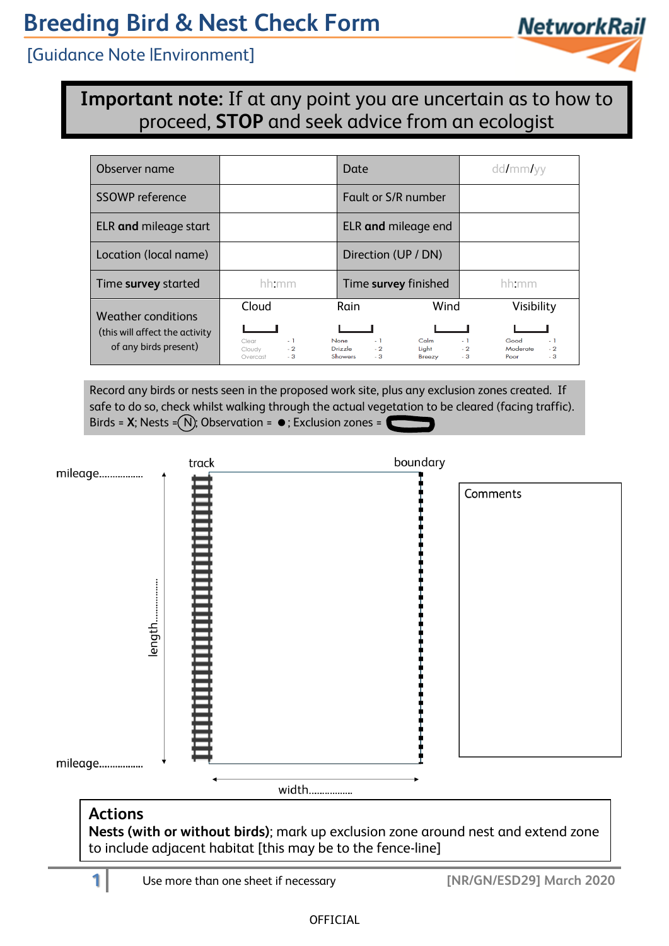# **Breeding Bird & Nest Check Form**

[Guidance Note |Environment]



**Important note:** If at any point you are uncertain as to how to proceed, **STOP** and seek advice from an ecologist

| Observer name                                                |                                                     | Date                                                                                             | dd/mm/yy                                                                 |
|--------------------------------------------------------------|-----------------------------------------------------|--------------------------------------------------------------------------------------------------|--------------------------------------------------------------------------|
| <b>SSOWP</b> reference                                       |                                                     | Fault or S/R number                                                                              |                                                                          |
| ELR and mileage start                                        |                                                     | ELR and mileage end                                                                              |                                                                          |
| Location (local name)                                        |                                                     | Direction (UP / DN)                                                                              |                                                                          |
| Time survey started                                          | hh:mm                                               | Time survey finished                                                                             | hh:mm                                                                    |
| <b>Weather conditions</b><br>(this will affect the activity) | Cloud                                               | Wind<br>Rain                                                                                     | Visibility                                                               |
| of any birds present)                                        | $-1$<br>Clear<br>$-2$<br>Cloudy<br>$-3$<br>Overcast | C <sub>clm</sub><br><b>None</b><br>$-1$<br>Drizzle<br>$-2$<br>Light<br>$-3$<br>Showers<br>Breezy | $-1$<br>Good<br>$-1$<br>Moderate<br>$-2$<br>$-2$<br>$-3$<br>$-3$<br>Poor |

Record any birds or nests seen in the proposed work site, plus any exclusion zones created. If safe to do so, check whilst walking through the actual vegetation to be cleared (facing traffic). Birds =  $X$ ; Nests =  $(N)$ ; Observation =  $\bullet$ ; Exclusion zones =



**Nests (with or without birds)**; mark up exclusion zone around nest and extend zone to include adjacent habitat [this may be to the fence-line]